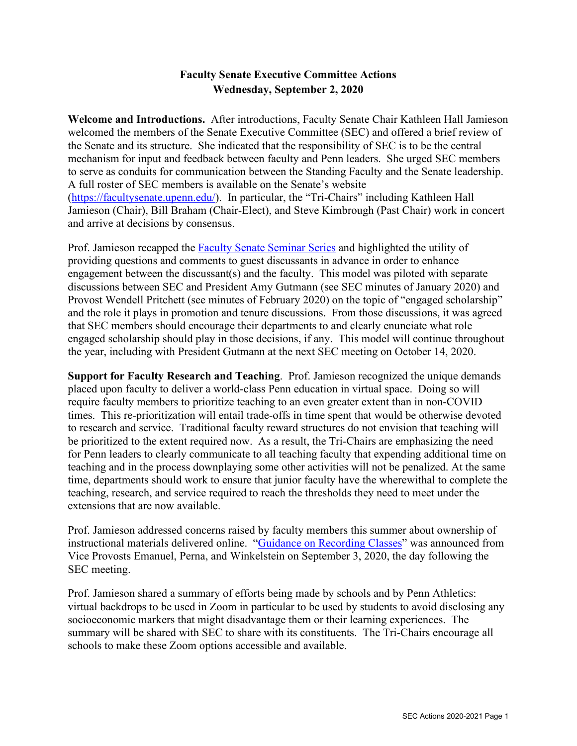### **Faculty Senate Executive Committee Actions Wednesday, September 2, 2020**

**Welcome and Introductions.** After introductions, Faculty Senate Chair Kathleen Hall Jamieson welcomed the members of the Senate Executive Committee (SEC) and offered a brief review of the Senate and its structure. She indicated that the responsibility of SEC is to be the central mechanism for input and feedback between faculty and Penn leaders. She urged SEC members to serve as conduits for communication between the Standing Faculty and the Senate leadership. A full roster of SEC members is available on the Senate's website [\(https://facultysenate.upenn.edu/\)](https://facultysenate.upenn.edu/). In particular, the "Tri-Chairs" including Kathleen Hall Jamieson (Chair), Bill Braham (Chair-Elect), and Steve Kimbrough (Past Chair) work in concert and arrive at decisions by consensus.

Prof. Jamieson recapped the [Faculty Senate Seminar Series](https://provost.upenn.edu/senate/faculty-senate-seminar-series) and highlighted the utility of providing questions and comments to guest discussants in advance in order to enhance engagement between the discussant(s) and the faculty. This model was piloted with separate discussions between SEC and President Amy Gutmann (see SEC minutes of January 2020) and Provost Wendell Pritchett (see minutes of February 2020) on the topic of "engaged scholarship" and the role it plays in promotion and tenure discussions. From those discussions, it was agreed that SEC members should encourage their departments to and clearly enunciate what role engaged scholarship should play in those decisions, if any. This model will continue throughout the year, including with President Gutmann at the next SEC meeting on October 14, 2020.

**Support for Faculty Research and Teaching**. Prof. Jamieson recognized the unique demands placed upon faculty to deliver a world-class Penn education in virtual space. Doing so will require faculty members to prioritize teaching to an even greater extent than in non-COVID times. This re-prioritization will entail trade-offs in time spent that would be otherwise devoted to research and service. Traditional faculty reward structures do not envision that teaching will be prioritized to the extent required now. As a result, the Tri-Chairs are emphasizing the need for Penn leaders to clearly communicate to all teaching faculty that expending additional time on teaching and in the process downplaying some other activities will not be penalized. At the same time, departments should work to ensure that junior faculty have the wherewithal to complete the teaching, research, and service required to reach the thresholds they need to meet under the extensions that are now available.

Prof. Jamieson addressed concerns raised by faculty members this summer about ownership of instructional materials delivered online. ["Guidance on Recording Classes"](https://provost.upenn.edu/sites/default/files/users/user125/Online%20Guidance%20Fall%202020%20-%209%203%202020.pdf) was announced from Vice Provosts Emanuel, Perna, and Winkelstein on September 3, 2020, the day following the SEC meeting.

Prof. Jamieson shared a summary of efforts being made by schools and by Penn Athletics: virtual backdrops to be used in Zoom in particular to be used by students to avoid disclosing any socioeconomic markers that might disadvantage them or their learning experiences. The summary will be shared with SEC to share with its constituents. The Tri-Chairs encourage all schools to make these Zoom options accessible and available.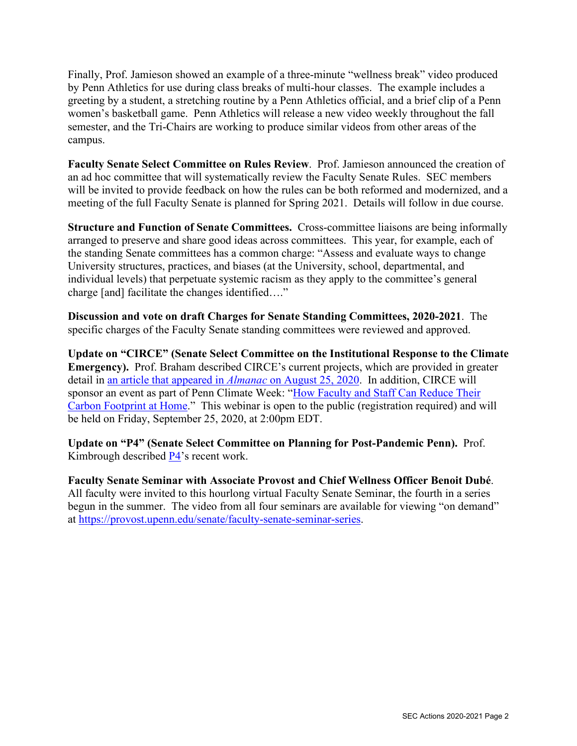Finally, Prof. Jamieson showed an example of a three-minute "wellness break" video produced by Penn Athletics for use during class breaks of multi-hour classes. The example includes a greeting by a student, a stretching routine by a Penn Athletics official, and a brief clip of a Penn women's basketball game. Penn Athletics will release a new video weekly throughout the fall semester, and the Tri-Chairs are working to produce similar videos from other areas of the campus.

**Faculty Senate Select Committee on Rules Review**. Prof. Jamieson announced the creation of an ad hoc committee that will systematically review the Faculty Senate Rules. SEC members will be invited to provide feedback on how the rules can be both reformed and modernized, and a meeting of the full Faculty Senate is planned for Spring 2021. Details will follow in due course.

**Structure and Function of Senate Committees.** Cross-committee liaisons are being informally arranged to preserve and share good ideas across committees. This year, for example, each of the standing Senate committees has a common charge: "Assess and evaluate ways to change University structures, practices, and biases (at the University, school, departmental, and individual levels) that perpetuate systemic racism as they apply to the committee's general charge [and] facilitate the changes identified…."

**Discussion and vote on draft Charges for Senate Standing Committees, 2020-2021**. The specific charges of the Faculty Senate standing committees were reviewed and approved.

**Update on "CIRCE" (Senate Select Committee on the Institutional Response to the Climate Emergency).** Prof. Braham described CIRCE's current projects, which are provided in greater detail in [an article that appeared in](https://almanac.upenn.edu/volume-67-number-7#circe-a-faculty-climate-emergency-resolution-with-a-difference) *Almanac* on August 25, 2020. In addition, CIRCE will sponsor an event as part of Penn Climate Week: ["How Faculty and Staff Can Reduce Their](https://provost.upenn.edu/senate/how-penn-faculty-and-staff-can-reduce-their-carbon-footprint-home)  [Carbon Footprint at Home.](https://provost.upenn.edu/senate/how-penn-faculty-and-staff-can-reduce-their-carbon-footprint-home)" This webinar is open to the public (registration required) and will be held on Friday, September 25, 2020, at 2:00pm EDT.

**Update on "P4" (Senate Select Committee on Planning for Post-Pandemic Penn).** Prof. Kimbrough described [P4'](https://provost.upenn.edu/senate/p4)s recent work.

**Faculty Senate Seminar with Associate Provost and Chief Wellness Officer Benoit Dubé**. All faculty were invited to this hourlong virtual Faculty Senate Seminar, the fourth in a series begun in the summer. The video from all four seminars are available for viewing "on demand" at [https://provost.upenn.edu/senate/faculty-senate-seminar-series.](https://provost.upenn.edu/senate/faculty-senate-seminar-series)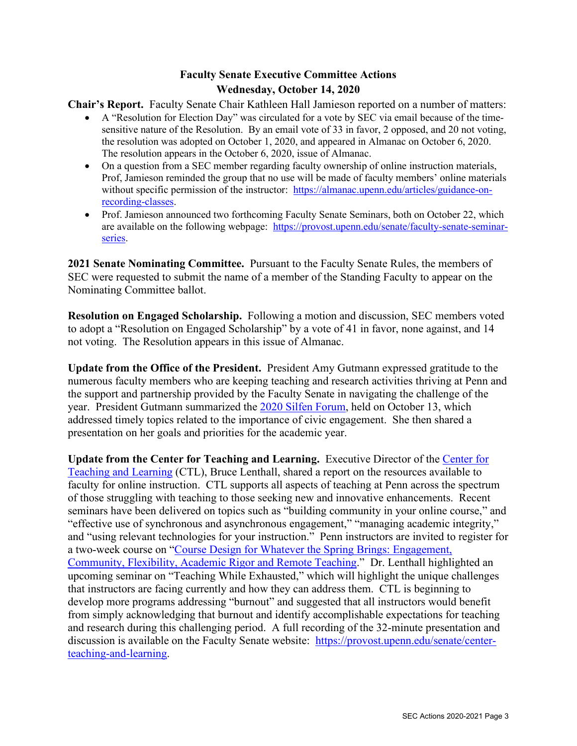# **Faculty Senate Executive Committee Actions Wednesday, October 14, 2020**

**Chair's Report.** Faculty Senate Chair Kathleen Hall Jamieson reported on a number of matters:

- A "Resolution for Election Day" was circulated for a vote by SEC via email because of the timesensitive nature of the Resolution. By an email vote of 33 in favor, 2 opposed, and 20 not voting, the resolution was adopted on October 1, 2020, and appeared in Almanac on October 6, 2020. The resolution appears in the October 6, 2020, issue of Almanac.
- On a question from a SEC member regarding faculty ownership of online instruction materials, Prof, Jamieson reminded the group that no use will be made of faculty members' online materials without specific permission of the instructor: [https://almanac.upenn.edu/articles/guidance-on](https://almanac.upenn.edu/articles/guidance-on-recording-classes)[recording-classes.](https://almanac.upenn.edu/articles/guidance-on-recording-classes)
- Prof. Jamieson announced two forthcoming Faculty Senate Seminars, both on October 22, which are available on the following webpage: [https://provost.upenn.edu/senate/faculty-senate-seminar](https://provost.upenn.edu/senate/faculty-senate-seminar-series)[series.](https://provost.upenn.edu/senate/faculty-senate-seminar-series)

**2021 Senate Nominating Committee.** Pursuant to the Faculty Senate Rules, the members of SEC were requested to submit the name of a member of the Standing Faculty to appear on the Nominating Committee ballot.

**Resolution on Engaged Scholarship.** Following a motion and discussion, SEC members voted to adopt a "Resolution on Engaged Scholarship" by a vote of 41 in favor, none against, and 14 not voting. The Resolution appears in this issue of Almanac.

**Update from the Office of the President.** President Amy Gutmann expressed gratitude to the numerous faculty members who are keeping teaching and research activities thriving at Penn and the support and partnership provided by the Faculty Senate in navigating the challenge of the year. President Gutmann summarized the [2020 Silfen Forum,](https://silfenforum.upenn.edu/) held on October 13, which addressed timely topics related to the importance of civic engagement. She then shared a presentation on her goals and priorities for the academic year.

**Update from the Center for Teaching and Learning.** Executive Director of the [Center for](https://www.ctl.upenn.edu/)  [Teaching and Learning](https://www.ctl.upenn.edu/) (CTL), Bruce Lenthall, shared a report on the resources available to faculty for online instruction. CTL supports all aspects of teaching at Penn across the spectrum of those struggling with teaching to those seeking new and innovative enhancements. Recent seminars have been delivered on topics such as "building community in your online course," and "effective use of synchronous and asynchronous engagement," "managing academic integrity," and "using relevant technologies for your instruction." Penn instructors are invited to register for a two-week course on ["Course Design for Whatever the Spring Brings: Engagement,](https://docs.google.com/forms/d/1hAqMbRHVYiu_kYXwsEwNPCVy9SWbkk4po-dNpekvOFE/viewform?ts=5f5a9116&edit_requested=true)  [Community, Flexibility, Academic Rigor and Remote Teaching.](https://docs.google.com/forms/d/1hAqMbRHVYiu_kYXwsEwNPCVy9SWbkk4po-dNpekvOFE/viewform?ts=5f5a9116&edit_requested=true)" Dr. Lenthall highlighted an upcoming seminar on "Teaching While Exhausted," which will highlight the unique challenges that instructors are facing currently and how they can address them. CTL is beginning to develop more programs addressing "burnout" and suggested that all instructors would benefit from simply acknowledging that burnout and identify accomplishable expectations for teaching and research during this challenging period. A full recording of the 32-minute presentation and discussion is available on the Faculty Senate website: [https://provost.upenn.edu/senate/center](https://provost.upenn.edu/senate/center-teaching-and-learning)[teaching-and-learning.](https://provost.upenn.edu/senate/center-teaching-and-learning)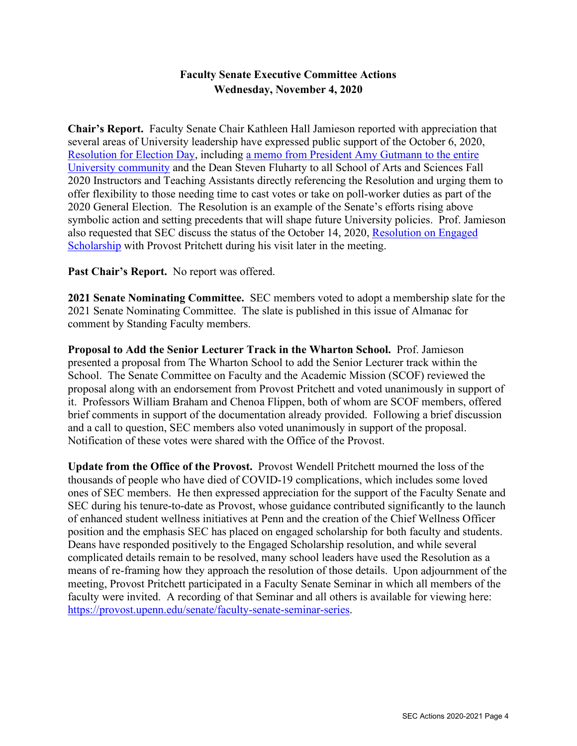### **Faculty Senate Executive Committee Actions Wednesday, November 4, 2020**

**Chair's Report.** Faculty Senate Chair Kathleen Hall Jamieson reported with appreciation that several areas of University leadership have expressed public support of the October 6, 2020, [Resolution for Election Day,](https://almanac.upenn.edu/volume-67-number-13#resolution-for-election-day-all-faculty-instructors-teaching-courses-at-the-university-of-pennsylvania-should-accommodate-students-who-wish-to-engage-in-election-related-activities-on-election-day) including [a memo from President Amy Gutmann to the entire](https://penntoday.upenn.edu/announcements/take-time-vote-message-penn-community)  [University community](https://penntoday.upenn.edu/announcements/take-time-vote-message-penn-community) and the Dean Steven Fluharty to all School of Arts and Sciences Fall 2020 Instructors and Teaching Assistants directly referencing the Resolution and urging them to offer flexibility to those needing time to cast votes or take on poll-worker duties as part of the 2020 General Election. The Resolution is an example of the Senate's efforts rising above symbolic action and setting precedents that will shape future University policies. Prof. Jamieson also requested that SEC discuss the status of the October 14, 2020, Resolution on Engaged Scholarship with Provost Pritchett during his visit later in the meeting.

Past Chair's Report. No report was offered.

**2021 Senate Nominating Committee.** SEC members voted to adopt a membership slate for the 2021 Senate Nominating Committee. The slate is published in this issue of Almanac for comment by Standing Faculty members.

**Proposal to Add the Senior Lecturer Track in the Wharton School.** Prof. Jamieson presented a proposal from The Wharton School to add the Senior Lecturer track within the School. The Senate Committee on Faculty and the Academic Mission (SCOF) reviewed the proposal along with an endorsement from Provost Pritchett and voted unanimously in support of it. Professors William Braham and Chenoa Flippen, both of whom are SCOF members, offered brief comments in support of the documentation already provided. Following a brief discussion and a call to question, SEC members also voted unanimously in support of the proposal. Notification of these votes were shared with the Office of the Provost.

**Update from the Office of the Provost.** Provost Wendell Pritchett mourned the loss of the thousands of people who have died of COVID-19 complications, which includes some loved ones of SEC members. He then expressed appreciation for the support of the Faculty Senate and SEC during his tenure-to-date as Provost, whose guidance contributed significantly to the launch of enhanced student wellness initiatives at Penn and the creation of the Chief Wellness Officer position and the emphasis SEC has placed on engaged scholarship for both faculty and students. Deans have responded positively to the Engaged Scholarship resolution, and while several complicated details remain to be resolved, many school leaders have used the Resolution as a means of re-framing how they approach the resolution of those details. Upon adjournment of the meeting, Provost Pritchett participated in a Faculty Senate Seminar in which all members of the faculty were invited. A recording of that Seminar and all others is available for viewing here: [https://provost.upenn.edu/senate/faculty-senate-seminar-series.](https://provost.upenn.edu/senate/faculty-senate-seminar-series)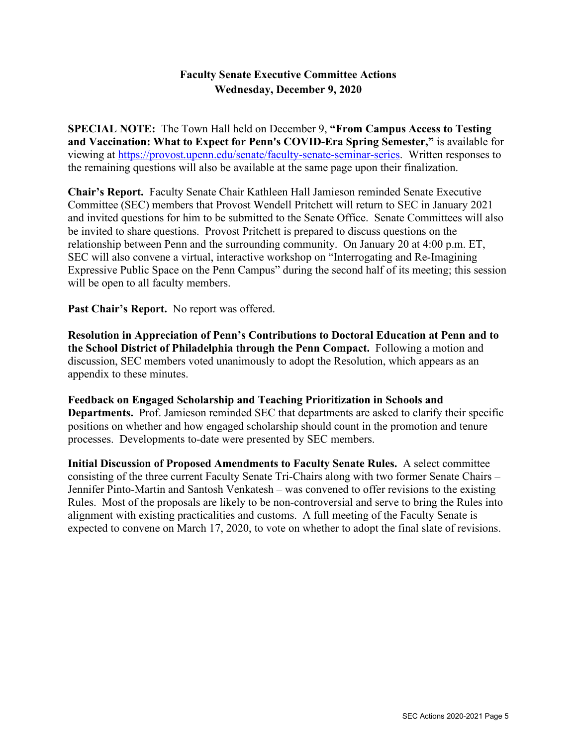## **Faculty Senate Executive Committee Actions Wednesday, December 9, 2020**

**SPECIAL NOTE:** The Town Hall held on December 9, **"From Campus Access to Testing and Vaccination: What to Expect for Penn's COVID-Era Spring Semester,"** is available for viewing at [https://provost.upenn.edu/senate/faculty-senate-seminar-series.](https://provost.upenn.edu/senate/faculty-senate-seminar-series) Written responses to the remaining questions will also be available at the same page upon their finalization.

**Chair's Report.** Faculty Senate Chair Kathleen Hall Jamieson reminded Senate Executive Committee (SEC) members that Provost Wendell Pritchett will return to SEC in January 2021 and invited questions for him to be submitted to the Senate Office. Senate Committees will also be invited to share questions. Provost Pritchett is prepared to discuss questions on the relationship between Penn and the surrounding community. On January 20 at 4:00 p.m. ET, SEC will also convene a virtual, interactive workshop on "Interrogating and Re-Imagining Expressive Public Space on the Penn Campus" during the second half of its meeting; this session will be open to all faculty members.

Past Chair's Report. No report was offered.

**Resolution in Appreciation of Penn's Contributions to Doctoral Education at Penn and to the School District of Philadelphia through the Penn Compact.** Following a motion and discussion, SEC members voted unanimously to adopt the Resolution, which appears as an appendix to these minutes.

**Feedback on Engaged Scholarship and Teaching Prioritization in Schools and Departments.** Prof. Jamieson reminded SEC that departments are asked to clarify their specific positions on whether and how engaged scholarship should count in the promotion and tenure processes. Developments to-date were presented by SEC members.

**Initial Discussion of Proposed Amendments to Faculty Senate Rules.** A select committee consisting of the three current Faculty Senate Tri-Chairs along with two former Senate Chairs – Jennifer Pinto-Martin and Santosh Venkatesh – was convened to offer revisions to the existing Rules. Most of the proposals are likely to be non-controversial and serve to bring the Rules into alignment with existing practicalities and customs. A full meeting of the Faculty Senate is expected to convene on March 17, 2020, to vote on whether to adopt the final slate of revisions.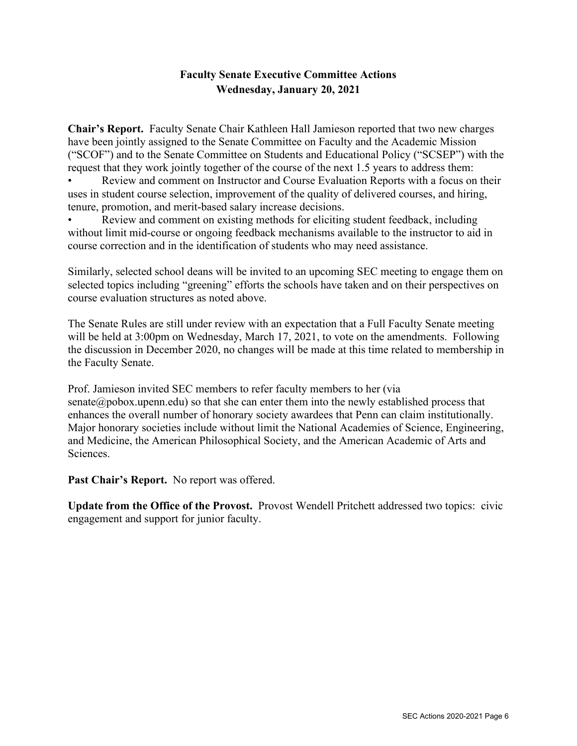# **Faculty Senate Executive Committee Actions Wednesday, January 20, 2021**

**Chair's Report.** Faculty Senate Chair Kathleen Hall Jamieson reported that two new charges have been jointly assigned to the Senate Committee on Faculty and the Academic Mission ("SCOF") and to the Senate Committee on Students and Educational Policy ("SCSEP") with the request that they work jointly together of the course of the next 1.5 years to address them:

• Review and comment on Instructor and Course Evaluation Reports with a focus on their uses in student course selection, improvement of the quality of delivered courses, and hiring, tenure, promotion, and merit-based salary increase decisions.

• Review and comment on existing methods for eliciting student feedback, including without limit mid-course or ongoing feedback mechanisms available to the instructor to aid in course correction and in the identification of students who may need assistance.

Similarly, selected school deans will be invited to an upcoming SEC meeting to engage them on selected topics including "greening" efforts the schools have taken and on their perspectives on course evaluation structures as noted above.

The Senate Rules are still under review with an expectation that a Full Faculty Senate meeting will be held at 3:00pm on Wednesday, March 17, 2021, to vote on the amendments. Following the discussion in December 2020, no changes will be made at this time related to membership in the Faculty Senate.

Prof. Jamieson invited SEC members to refer faculty members to her (via senate  $\omega$  pobox.upenn.edu) so that she can enter them into the newly established process that enhances the overall number of honorary society awardees that Penn can claim institutionally. Major honorary societies include without limit the National Academies of Science, Engineering, and Medicine, the American Philosophical Society, and the American Academic of Arts and Sciences.

**Past Chair's Report.** No report was offered.

**Update from the Office of the Provost.** Provost Wendell Pritchett addressed two topics: civic engagement and support for junior faculty.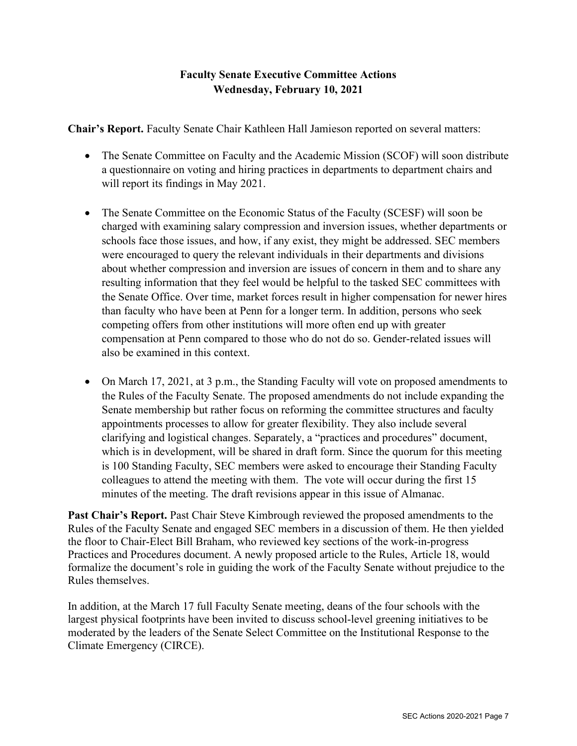# **Faculty Senate Executive Committee Actions Wednesday, February 10, 2021**

**Chair's Report.** Faculty Senate Chair Kathleen Hall Jamieson reported on several matters:

- The Senate Committee on Faculty and the Academic Mission (SCOF) will soon distribute a questionnaire on voting and hiring practices in departments to department chairs and will report its findings in May 2021.
- The Senate Committee on the Economic Status of the Faculty (SCESF) will soon be charged with examining salary compression and inversion issues, whether departments or schools face those issues, and how, if any exist, they might be addressed. SEC members were encouraged to query the relevant individuals in their departments and divisions about whether compression and inversion are issues of concern in them and to share any resulting information that they feel would be helpful to the tasked SEC committees with the Senate Office. Over time, market forces result in higher compensation for newer hires than faculty who have been at Penn for a longer term. In addition, persons who seek competing offers from other institutions will more often end up with greater compensation at Penn compared to those who do not do so. Gender-related issues will also be examined in this context.
- On March 17, 2021, at 3 p.m., the Standing Faculty will vote on proposed amendments to the Rules of the Faculty Senate. The proposed amendments do not include expanding the Senate membership but rather focus on reforming the committee structures and faculty appointments processes to allow for greater flexibility. They also include several clarifying and logistical changes. Separately, a "practices and procedures" document, which is in development, will be shared in draft form. Since the quorum for this meeting is 100 Standing Faculty, SEC members were asked to encourage their Standing Faculty colleagues to attend the meeting with them. The vote will occur during the first 15 minutes of the meeting. The draft revisions appear in this issue of Almanac.

**Past Chair's Report.** Past Chair Steve Kimbrough reviewed the proposed amendments to the Rules of the Faculty Senate and engaged SEC members in a discussion of them. He then yielded the floor to Chair-Elect Bill Braham, who reviewed key sections of the work-in-progress Practices and Procedures document. A newly proposed article to the Rules, Article 18, would formalize the document's role in guiding the work of the Faculty Senate without prejudice to the Rules themselves.

In addition, at the March 17 full Faculty Senate meeting, deans of the four schools with the largest physical footprints have been invited to discuss school-level greening initiatives to be moderated by the leaders of the Senate Select Committee on the Institutional Response to the Climate Emergency (CIRCE).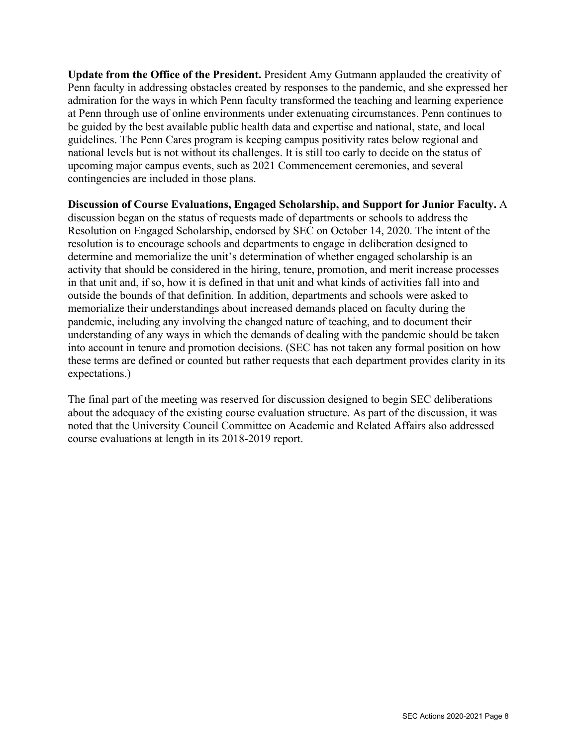**Update from the Office of the President.** President Amy Gutmann applauded the creativity of Penn faculty in addressing obstacles created by responses to the pandemic, and she expressed her admiration for the ways in which Penn faculty transformed the teaching and learning experience at Penn through use of online environments under extenuating circumstances. Penn continues to be guided by the best available public health data and expertise and national, state, and local guidelines. The Penn Cares program is keeping campus positivity rates below regional and national levels but is not without its challenges. It is still too early to decide on the status of upcoming major campus events, such as 2021 Commencement ceremonies, and several contingencies are included in those plans.

**Discussion of Course Evaluations, Engaged Scholarship, and Support for Junior Faculty.** A discussion began on the status of requests made of departments or schools to address the Resolution on Engaged Scholarship, endorsed by SEC on October 14, 2020. The intent of the resolution is to encourage schools and departments to engage in deliberation designed to determine and memorialize the unit's determination of whether engaged scholarship is an activity that should be considered in the hiring, tenure, promotion, and merit increase processes in that unit and, if so, how it is defined in that unit and what kinds of activities fall into and outside the bounds of that definition. In addition, departments and schools were asked to memorialize their understandings about increased demands placed on faculty during the pandemic, including any involving the changed nature of teaching, and to document their understanding of any ways in which the demands of dealing with the pandemic should be taken into account in tenure and promotion decisions. (SEC has not taken any formal position on how these terms are defined or counted but rather requests that each department provides clarity in its expectations.)

The final part of the meeting was reserved for discussion designed to begin SEC deliberations about the adequacy of the existing course evaluation structure. As part of the discussion, it was noted that the University Council Committee on Academic and Related Affairs also addressed course evaluations at length in its 2018-2019 report.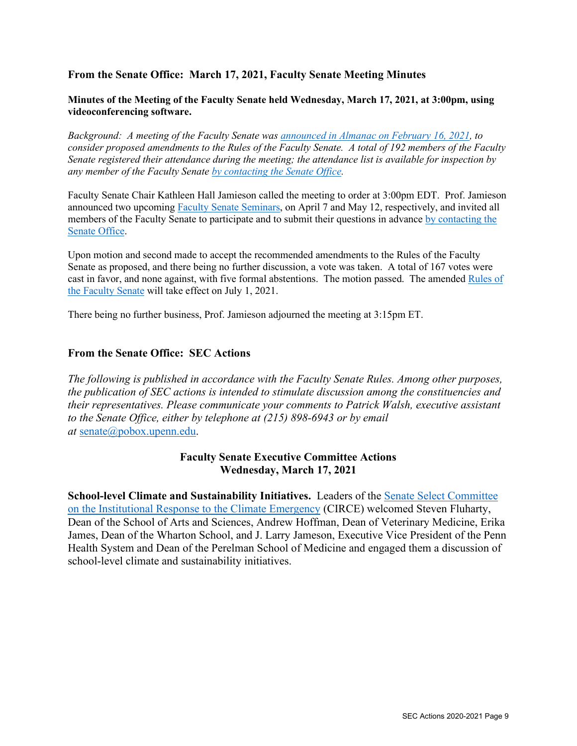### **From the Senate Office: March 17, 2021, Faculty Senate Meeting Minutes**

#### **Minutes of the Meeting of the Faculty Senate held Wednesday, March 17, 2021, at 3:00pm, using videoconferencing software.**

*Background: A meeting of the Faculty Senate wa[s announced in Almanac on February 16, 2021,](https://almanac.upenn.edu/volume-67-number-27#from-the-senate-chair-notice-of-special-meeting-of-faculty-senate-to-consider-changes-to-rules-of-the-faculty-senate) to consider proposed amendments to the Rules of the Faculty Senate. A total of 192 members of the Faculty Senate registered their attendance during the meeting; the attendance list is available for inspection by any member of the Faculty Senat[e by contacting the Senate Office.](mailto:senate@pobox.upenn.edu?subject=Inquiry%20re:%20Faculty%20Senate%20Meeting%20of%20March%2017,%202021)*

Faculty Senate Chair Kathleen Hall Jamieson called the meeting to order at 3:00pm EDT. Prof. Jamieson announced two upcoming [Faculty Senate Seminars,](https://provost.upenn.edu/senate/faculty-senate-seminar-series) on April 7 and May 12, respectively, and invited all members of the Faculty Senate to participate and to submit their questions in advance [by contacting the](mailto:senate@pobox.upenn.edu?subject=Inquiry%20re:%20Faculty%20Senate%20Meeting%20of%20March%2017,%202021)  [Senate Office.](mailto:senate@pobox.upenn.edu?subject=Inquiry%20re:%20Faculty%20Senate%20Meeting%20of%20March%2017,%202021)

Upon motion and second made to accept the recommended amendments to the Rules of the Faculty Senate as proposed, and there being no further discussion, a vote was taken. A total of 167 votes were cast in favor, and none against, with five formal abstentions. The motion passed. The amended [Rules of](https://provost.upenn.edu/senate/faculty-senate-rules)  [the Faculty Senate](https://provost.upenn.edu/senate/faculty-senate-rules) will take effect on July 1, 2021.

There being no further business, Prof. Jamieson adjourned the meeting at 3:15pm ET.

### **From the Senate Office: SEC Actions**

*The following is published in accordance with the Faculty Senate Rules. Among other purposes, the publication of SEC actions is intended to stimulate discussion among the constituencies and their representatives. Please communicate your comments to Patrick Walsh, executive assistant to the Senate Office, either by telephone at (215) 898-6943 or by email at* [senate@pobox.upenn.edu.](http://senate@pobox.upenn.edu/)

### **Faculty Senate Executive Committee Actions Wednesday, March 17, 2021**

**School-level Climate and Sustainability Initiatives.** Leaders of the [Senate Select Committee](https://provost.upenn.edu/senate/circe)  [on the Institutional Response to the Climate Emergency](https://provost.upenn.edu/senate/circe) (CIRCE) welcomed Steven Fluharty, Dean of the School of Arts and Sciences, Andrew Hoffman, Dean of Veterinary Medicine, Erika James, Dean of the Wharton School, and J. Larry Jameson, Executive Vice President of the Penn Health System and Dean of the Perelman School of Medicine and engaged them a discussion of school-level climate and sustainability initiatives.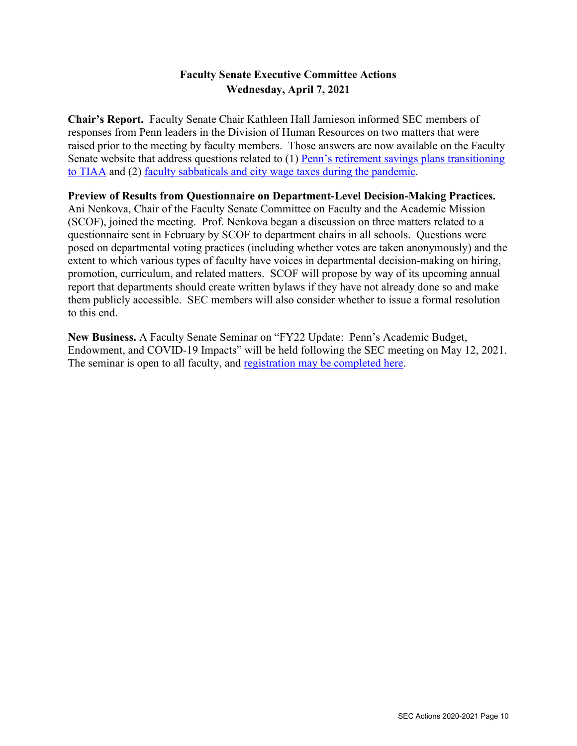# **Faculty Senate Executive Committee Actions Wednesday, April 7, 2021**

**Chair's Report.** Faculty Senate Chair Kathleen Hall Jamieson informed SEC members of responses from Penn leaders in the Division of Human Resources on two matters that were raised prior to the meeting by faculty members. Those answers are now available on the Faculty Senate website that address questions related to (1) [Penn's retirement savings plans transitioning](https://provost.upenn.edu/sites/default/files/users/user131/Resources%20regarding%20transition%20to%20TIAA%20(April%202021).pdf)  [to TIAA](https://provost.upenn.edu/sites/default/files/users/user131/Resources%20regarding%20transition%20to%20TIAA%20(April%202021).pdf) and (2) [faculty sabbaticals and city wage taxes during the pandemic.](https://provost.upenn.edu/senate/sabbatical-and-city-wage-taxes-during-pandemic)

### **Preview of Results from Questionnaire on Department-Level Decision-Making Practices.**

Ani Nenkova, Chair of the Faculty Senate Committee on Faculty and the Academic Mission (SCOF), joined the meeting. Prof. Nenkova began a discussion on three matters related to a questionnaire sent in February by SCOF to department chairs in all schools. Questions were posed on departmental voting practices (including whether votes are taken anonymously) and the extent to which various types of faculty have voices in departmental decision-making on hiring, promotion, curriculum, and related matters. SCOF will propose by way of its upcoming annual report that departments should create written bylaws if they have not already done so and make them publicly accessible. SEC members will also consider whether to issue a formal resolution to this end.

**New Business.** A Faculty Senate Seminar on "FY22 Update: Penn's Academic Budget, Endowment, and COVID-19 Impacts" will be held following the SEC meeting on May 12, 2021. The seminar is open to all faculty, and [registration may be completed here.](https://primetime.bluejeans.com/a2m/register/udzwdyfh)